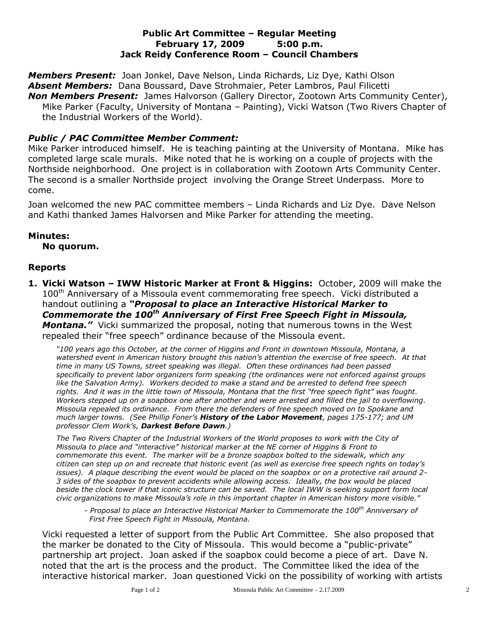### **Public Art Committee – Regular Meeting February 17, 2009 5:00 p.m. Jack Reidy Conference Room – Council Chambers**

*Members Present:* Joan Jonkel, Dave Nelson, Linda Richards, Liz Dye, Kathi Olson *Absent Members:* Dana Boussard, Dave Strohmaier, Peter Lambros, Paul Filicetti *Non Members Present:* James Halvorson (Gallery Director, Zootown Arts Community Center), Mike Parker (Faculty, University of Montana – Painting), Vicki Watson (Two Rivers Chapter of the Industrial Workers of the World).

# *Public / PAC Committee Member Comment:*

Mike Parker introduced himself. He is teaching painting at the University of Montana. Mike has completed large scale murals. Mike noted that he is working on a couple of projects with the Northside neighborhood. One project is in collaboration with Zootown Arts Community Center. The second is a smaller Northside project involving the Orange Street Underpass. More to come.

Joan welcomed the new PAC committee members – Linda Richards and Liz Dye. Dave Nelson and Kathi thanked James Halvorsen and Mike Parker for attending the meeting.

### **Minutes:**

#### **No quorum.**

### **Reports**

**1. Vicki Watson – IWW Historic Marker at Front & Higgins:** October, 2009 will make the 100<sup>th</sup> Anniversary of a Missoula event commemorating free speech. Vicki distributed a handout outlining a *"Proposal to place an Interactive Historical Marker to Commemorate the 100th Anniversary of First Free Speech Fight in Missoula, Montana."*Vicki summarized the proposal, noting that numerous towns in the West repealed their "free speech" ordinance because of the Missoula event.

*"100 years ago this October, at the corner of Higgins and Front in downtown Missoula, Montana, a watershed event in American history brought this nation's attention the exercise of free speech. At that time in many US Towns, street speaking was illegal. Often these ordinances had been passed specifically to prevent labor organizers form speaking (the ordinances were not enforced against groups like the Salvation Army). Workers decided to make a stand and be arrested to defend free speech rights. And it was in the little town of Missoula, Montana that the first "free speech fight" was fought. Workers stepped up on a soapbox one after another and were arrested and filled the jail to overflowing. Missoula repealed its ordinance. From there the defenders of free speech moved on to Spokane and much larger towns. (See Phillip Foner's History of the Labor Movement, pages 175-177; and UM professor Clem Work's, Darkest Before Dawn.)*

*The Two Rivers Chapter of the Industrial Workers of the World proposes to work with the City of Missoula to place and "interactive" historical marker at the NE corner of Higgins & Front to commemorate this event. The marker will be a bronze soapbox bolted to the sidewalk, which any citizen can step up on and recreate that historic event (as well as exercise free speech rights on today's issues). A plaque describing the event would be placed on the soapbox or on a protective rail around 2- 3 sides of the soapbox to prevent accidents while allowing access. Ideally, the box would be placed beside the clock tower if that iconic structure can be saved. The local IWW is seeking support form local civic organizations to make Missoula's role in this important chapter in American history more visible."*

*- Proposal to place an Interactive Historical Marker to Commemorate the 100th Anniversary of First Free Speech Fight in Missoula, Montana.*

Vicki requested a letter of support from the Public Art Committee. She also proposed that the marker be donated to the City of Missoula. This would become a "public-private" partnership art project. Joan asked if the soapbox could become a piece of art. Dave N. noted that the art is the process and the product. The Committee liked the idea of the interactive historical marker. Joan questioned Vicki on the possibility of working with artists